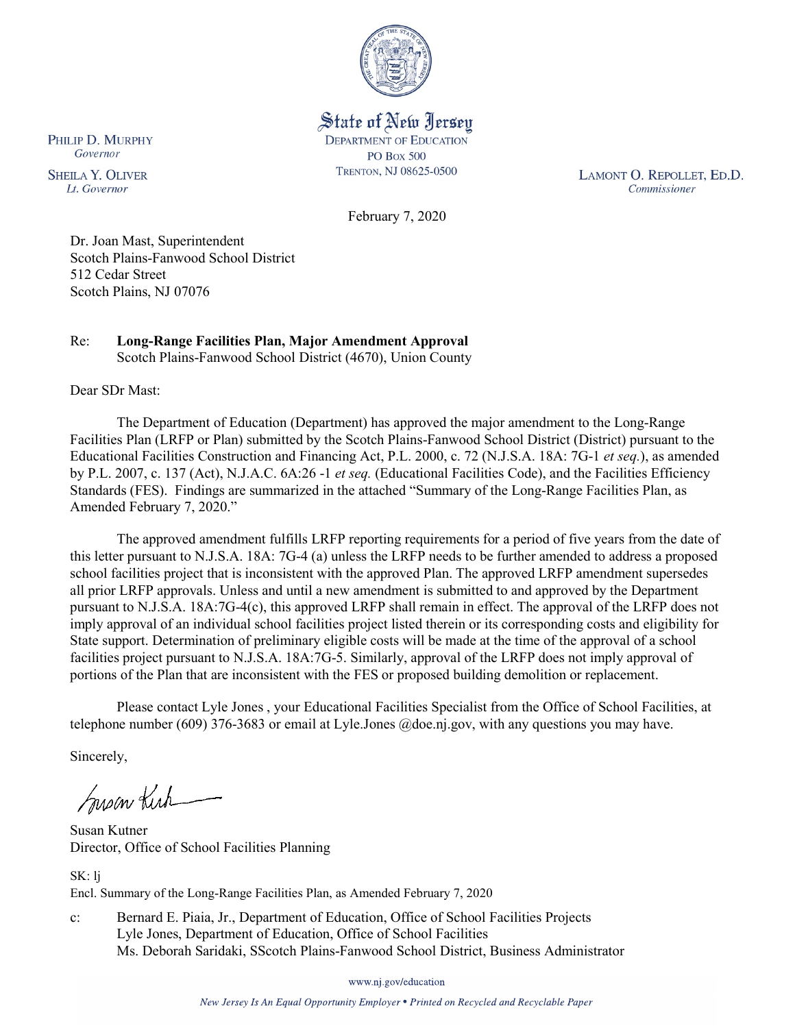

State of New Jersey **DEPARTMENT OF EDUCATION PO Box 500** TRENTON, NJ 08625-0500

LAMONT O. REPOLLET, ED.D. Commissioner

February 7, 2020

Dr. Joan Mast, Superintendent Scotch Plains-Fanwood School District 512 Cedar Street Scotch Plains, NJ 07076

#### Re: **Long-Range Facilities Plan, Major Amendment Approval** Scotch Plains-Fanwood School District (4670), Union County

Dear SDr Mast:

The Department of Education (Department) has approved the major amendment to the Long-Range Facilities Plan (LRFP or Plan) submitted by the Scotch Plains-Fanwood School District (District) pursuant to the Educational Facilities Construction and Financing Act, P.L. 2000, c. 72 (N.J.S.A. 18A: 7G-1 *et seq.*), as amended by P.L. 2007, c. 137 (Act), N.J.A.C. 6A:26 -1 *et seq.* (Educational Facilities Code), and the Facilities Efficiency Standards (FES). Findings are summarized in the attached "Summary of the Long-Range Facilities Plan, as Amended February 7, 2020."

The approved amendment fulfills LRFP reporting requirements for a period of five years from the date of this letter pursuant to N.J.S.A. 18A: 7G-4 (a) unless the LRFP needs to be further amended to address a proposed school facilities project that is inconsistent with the approved Plan. The approved LRFP amendment supersedes all prior LRFP approvals. Unless and until a new amendment is submitted to and approved by the Department pursuant to N.J.S.A. 18A:7G-4(c), this approved LRFP shall remain in effect. The approval of the LRFP does not imply approval of an individual school facilities project listed therein or its corresponding costs and eligibility for State support. Determination of preliminary eligible costs will be made at the time of the approval of a school facilities project pursuant to N.J.S.A. 18A:7G-5. Similarly, approval of the LRFP does not imply approval of portions of the Plan that are inconsistent with the FES or proposed building demolition or replacement.

Please contact Lyle Jones , your Educational Facilities Specialist from the Office of School Facilities, at telephone number (609) 376-3683 or email at Lyle.Jones @doe.nj.gov, with any questions you may have.

Sincerely,

Susan Kich

Susan Kutner Director, Office of School Facilities Planning

SK: lj Encl. Summary of the Long-Range Facilities Plan, as Amended February 7, 2020

c: Bernard E. Piaia, Jr., Department of Education, Office of School Facilities Projects Lyle Jones, Department of Education, Office of School Facilities Ms. Deborah Saridaki, SScotch Plains-Fanwood School District, Business Administrator

www.nj.gov/education

New Jersey Is An Equal Opportunity Employer . Printed on Recycled and Recyclable Paper

PHILIP D. MURPHY Governor

**SHEILA Y. OLIVER** Lt. Governor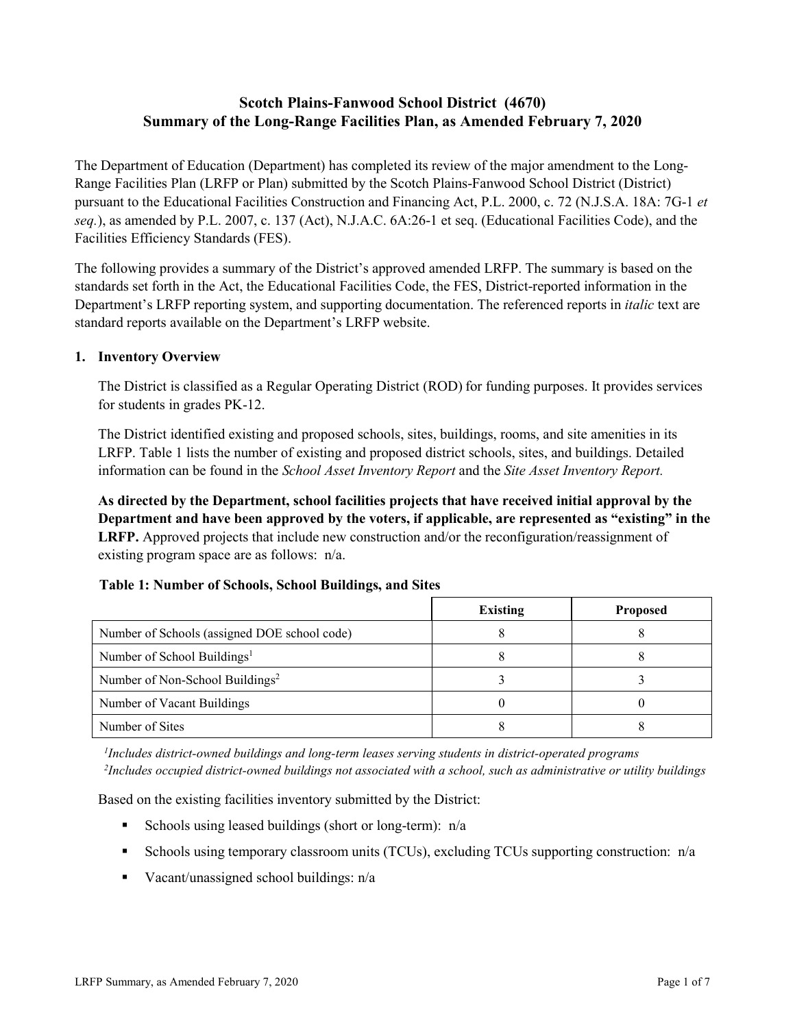# **Scotch Plains-Fanwood School District (4670) Summary of the Long-Range Facilities Plan, as Amended February 7, 2020**

The Department of Education (Department) has completed its review of the major amendment to the Long-Range Facilities Plan (LRFP or Plan) submitted by the Scotch Plains-Fanwood School District (District) pursuant to the Educational Facilities Construction and Financing Act, P.L. 2000, c. 72 (N.J.S.A. 18A: 7G-1 *et seq.*), as amended by P.L. 2007, c. 137 (Act), N.J.A.C. 6A:26-1 et seq. (Educational Facilities Code), and the Facilities Efficiency Standards (FES).

The following provides a summary of the District's approved amended LRFP. The summary is based on the standards set forth in the Act, the Educational Facilities Code, the FES, District-reported information in the Department's LRFP reporting system, and supporting documentation. The referenced reports in *italic* text are standard reports available on the Department's LRFP website.

### **1. Inventory Overview**

The District is classified as a Regular Operating District (ROD) for funding purposes. It provides services for students in grades PK-12.

The District identified existing and proposed schools, sites, buildings, rooms, and site amenities in its LRFP. Table 1 lists the number of existing and proposed district schools, sites, and buildings. Detailed information can be found in the *School Asset Inventory Report* and the *Site Asset Inventory Report.*

**As directed by the Department, school facilities projects that have received initial approval by the Department and have been approved by the voters, if applicable, are represented as "existing" in the LRFP.** Approved projects that include new construction and/or the reconfiguration/reassignment of existing program space are as follows: n/a.

|  |  | Table 1: Number of Schools, School Buildings, and Sites |  |
|--|--|---------------------------------------------------------|--|
|--|--|---------------------------------------------------------|--|

|                                              | <b>Existing</b> | <b>Proposed</b> |
|----------------------------------------------|-----------------|-----------------|
| Number of Schools (assigned DOE school code) |                 |                 |
| Number of School Buildings <sup>1</sup>      |                 |                 |
| Number of Non-School Buildings <sup>2</sup>  |                 |                 |
| Number of Vacant Buildings                   |                 |                 |
| Number of Sites                              |                 |                 |

*1 Includes district-owned buildings and long-term leases serving students in district-operated programs 2 Includes occupied district-owned buildings not associated with a school, such as administrative or utility buildings*

Based on the existing facilities inventory submitted by the District:

- Schools using leased buildings (short or long-term):  $n/a$
- Schools using temporary classroom units (TCUs), excluding TCUs supporting construction:  $n/a$
- Vacant/unassigned school buildings:  $n/a$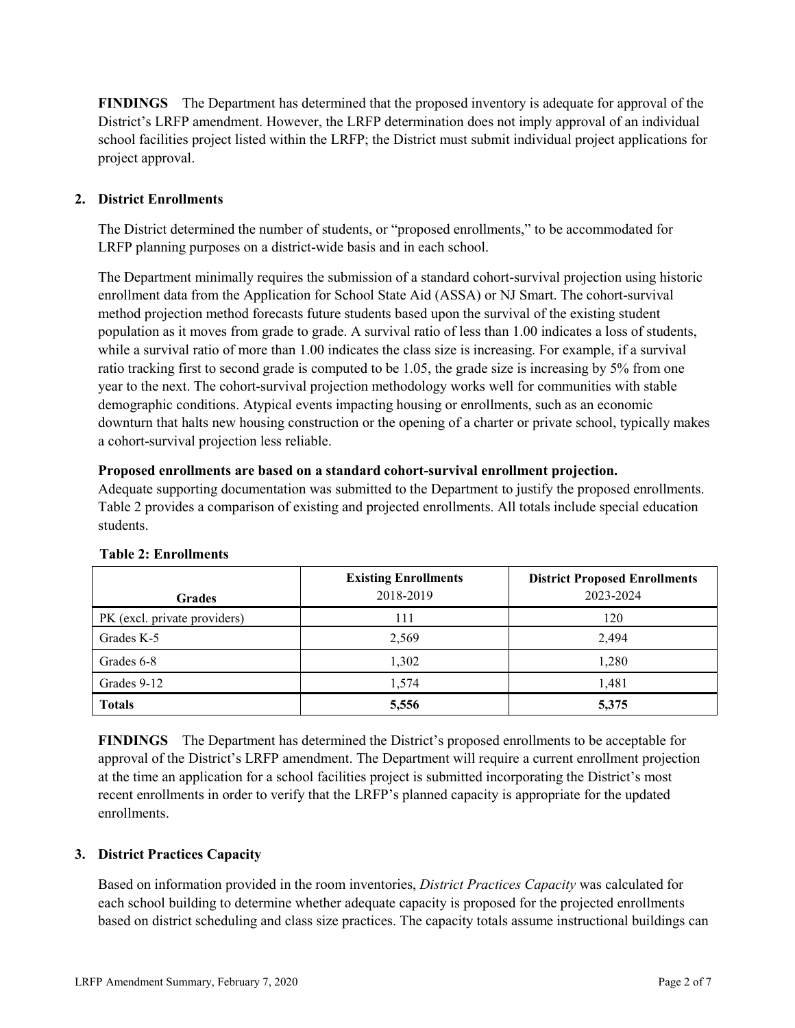**FINDINGS** The Department has determined that the proposed inventory is adequate for approval of the District's LRFP amendment. However, the LRFP determination does not imply approval of an individual school facilities project listed within the LRFP; the District must submit individual project applications for project approval.

# **2. District Enrollments**

The District determined the number of students, or "proposed enrollments," to be accommodated for LRFP planning purposes on a district-wide basis and in each school.

The Department minimally requires the submission of a standard cohort-survival projection using historic enrollment data from the Application for School State Aid (ASSA) or NJ Smart. The cohort-survival method projection method forecasts future students based upon the survival of the existing student population as it moves from grade to grade. A survival ratio of less than 1.00 indicates a loss of students, while a survival ratio of more than 1.00 indicates the class size is increasing. For example, if a survival ratio tracking first to second grade is computed to be 1.05, the grade size is increasing by 5% from one year to the next. The cohort-survival projection methodology works well for communities with stable demographic conditions. Atypical events impacting housing or enrollments, such as an economic downturn that halts new housing construction or the opening of a charter or private school, typically makes a cohort-survival projection less reliable.

### **Proposed enrollments are based on a standard cohort-survival enrollment projection.**

Adequate supporting documentation was submitted to the Department to justify the proposed enrollments. Table 2 provides a comparison of existing and projected enrollments. All totals include special education students.

|                              | <b>Existing Enrollments</b> | <b>District Proposed Enrollments</b> |
|------------------------------|-----------------------------|--------------------------------------|
| <b>Grades</b>                | 2018-2019                   | 2023-2024                            |
| PK (excl. private providers) | 111                         | 120                                  |
| Grades K-5                   | 2,569                       | 2.494                                |
| Grades 6-8                   | 1,302                       | 1,280                                |
| Grades 9-12                  | 1,574                       | 1,481                                |
| <b>Totals</b>                | 5,556                       | 5,375                                |

#### **Table 2: Enrollments**

**FINDINGS** The Department has determined the District's proposed enrollments to be acceptable for approval of the District's LRFP amendment. The Department will require a current enrollment projection at the time an application for a school facilities project is submitted incorporating the District's most recent enrollments in order to verify that the LRFP's planned capacity is appropriate for the updated enrollments.

# **3. District Practices Capacity**

Based on information provided in the room inventories, *District Practices Capacity* was calculated for each school building to determine whether adequate capacity is proposed for the projected enrollments based on district scheduling and class size practices. The capacity totals assume instructional buildings can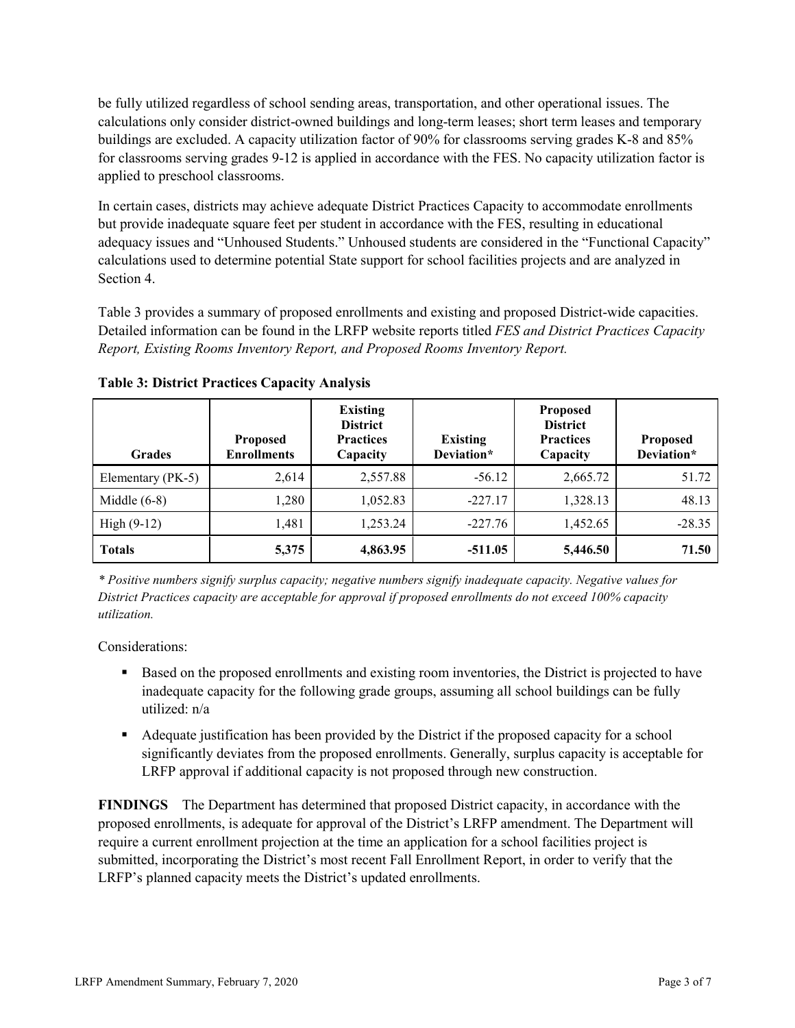be fully utilized regardless of school sending areas, transportation, and other operational issues. The calculations only consider district-owned buildings and long-term leases; short term leases and temporary buildings are excluded. A capacity utilization factor of 90% for classrooms serving grades K-8 and 85% for classrooms serving grades 9-12 is applied in accordance with the FES. No capacity utilization factor is applied to preschool classrooms.

In certain cases, districts may achieve adequate District Practices Capacity to accommodate enrollments but provide inadequate square feet per student in accordance with the FES, resulting in educational adequacy issues and "Unhoused Students." Unhoused students are considered in the "Functional Capacity" calculations used to determine potential State support for school facilities projects and are analyzed in Section 4.

Table 3 provides a summary of proposed enrollments and existing and proposed District-wide capacities. Detailed information can be found in the LRFP website reports titled *FES and District Practices Capacity Report, Existing Rooms Inventory Report, and Proposed Rooms Inventory Report.*

| <b>Grades</b>     | <b>Proposed</b><br><b>Enrollments</b> | <b>Existing</b><br><b>District</b><br><b>Practices</b><br>Capacity | <b>Existing</b><br>Deviation* | <b>Proposed</b><br><b>District</b><br><b>Practices</b><br>Capacity | <b>Proposed</b><br>Deviation* |
|-------------------|---------------------------------------|--------------------------------------------------------------------|-------------------------------|--------------------------------------------------------------------|-------------------------------|
| Elementary (PK-5) | 2,614                                 | 2,557.88                                                           | $-56.12$                      | 2,665.72                                                           | 51.72                         |
| Middle $(6-8)$    | 1,280                                 | 1,052.83                                                           | $-227.17$                     | 1,328.13                                                           | 48.13                         |
| High $(9-12)$     | 1,481                                 | 1,253.24                                                           | $-227.76$                     | 1,452.65                                                           | $-28.35$                      |
| <b>Totals</b>     | 5,375                                 | 4,863.95                                                           | $-511.05$                     | 5,446.50                                                           | 71.50                         |

**Table 3: District Practices Capacity Analysis**

*\* Positive numbers signify surplus capacity; negative numbers signify inadequate capacity. Negative values for District Practices capacity are acceptable for approval if proposed enrollments do not exceed 100% capacity utilization.*

Considerations:

- **Based on the proposed enrollments and existing room inventories, the District is projected to have** inadequate capacity for the following grade groups, assuming all school buildings can be fully utilized: n/a
- Adequate justification has been provided by the District if the proposed capacity for a school significantly deviates from the proposed enrollments. Generally, surplus capacity is acceptable for LRFP approval if additional capacity is not proposed through new construction.

**FINDINGS**The Department has determined that proposed District capacity, in accordance with the proposed enrollments, is adequate for approval of the District's LRFP amendment. The Department will require a current enrollment projection at the time an application for a school facilities project is submitted, incorporating the District's most recent Fall Enrollment Report, in order to verify that the LRFP's planned capacity meets the District's updated enrollments.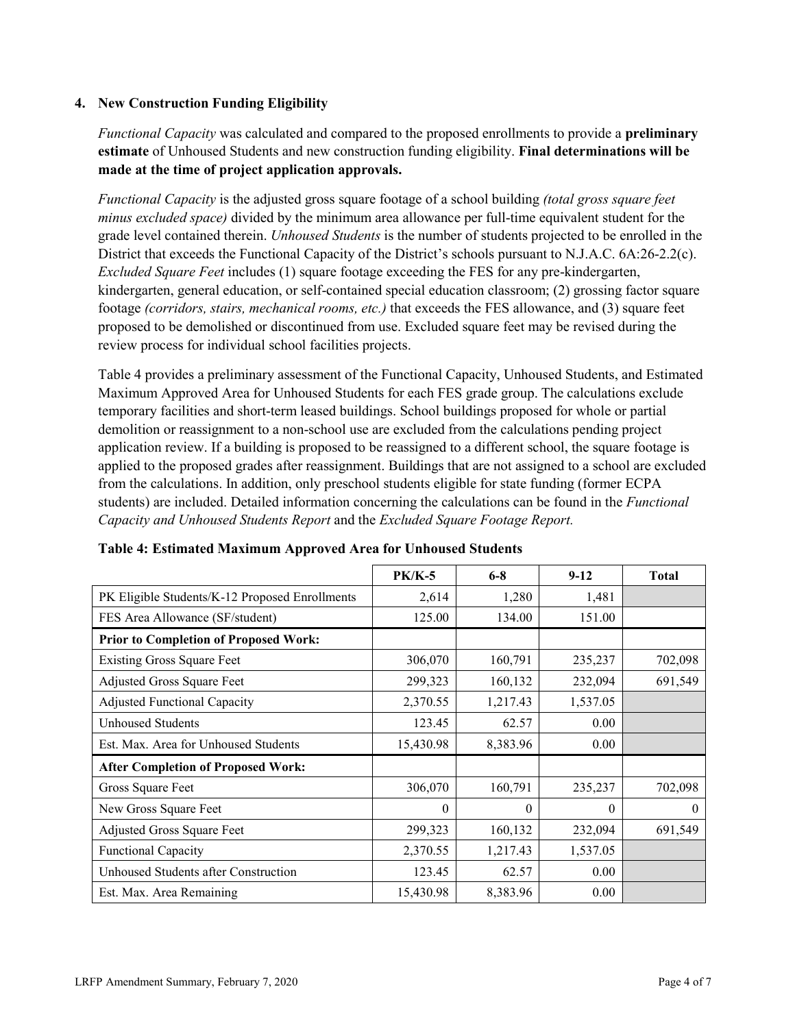### **4. New Construction Funding Eligibility**

*Functional Capacity* was calculated and compared to the proposed enrollments to provide a **preliminary estimate** of Unhoused Students and new construction funding eligibility. **Final determinations will be made at the time of project application approvals.**

*Functional Capacity* is the adjusted gross square footage of a school building *(total gross square feet minus excluded space)* divided by the minimum area allowance per full-time equivalent student for the grade level contained therein. *Unhoused Students* is the number of students projected to be enrolled in the District that exceeds the Functional Capacity of the District's schools pursuant to N.J.A.C. 6A:26-2.2(c). *Excluded Square Feet* includes (1) square footage exceeding the FES for any pre-kindergarten, kindergarten, general education, or self-contained special education classroom; (2) grossing factor square footage *(corridors, stairs, mechanical rooms, etc.)* that exceeds the FES allowance, and (3) square feet proposed to be demolished or discontinued from use. Excluded square feet may be revised during the review process for individual school facilities projects.

Table 4 provides a preliminary assessment of the Functional Capacity, Unhoused Students, and Estimated Maximum Approved Area for Unhoused Students for each FES grade group. The calculations exclude temporary facilities and short-term leased buildings. School buildings proposed for whole or partial demolition or reassignment to a non-school use are excluded from the calculations pending project application review. If a building is proposed to be reassigned to a different school, the square footage is applied to the proposed grades after reassignment. Buildings that are not assigned to a school are excluded from the calculations. In addition, only preschool students eligible for state funding (former ECPA students) are included. Detailed information concerning the calculations can be found in the *Functional Capacity and Unhoused Students Report* and the *Excluded Square Footage Report.*

|                                                | $PK/K-5$  | $6 - 8$  | $9 - 12$ | <b>Total</b> |
|------------------------------------------------|-----------|----------|----------|--------------|
| PK Eligible Students/K-12 Proposed Enrollments | 2,614     | 1,280    | 1,481    |              |
| FES Area Allowance (SF/student)                | 125.00    | 134.00   | 151.00   |              |
| <b>Prior to Completion of Proposed Work:</b>   |           |          |          |              |
| <b>Existing Gross Square Feet</b>              | 306,070   | 160,791  | 235,237  | 702,098      |
| Adjusted Gross Square Feet                     | 299,323   | 160,132  | 232,094  | 691,549      |
| <b>Adjusted Functional Capacity</b>            | 2,370.55  | 1,217.43 | 1,537.05 |              |
| Unhoused Students                              | 123.45    | 62.57    | 0.00     |              |
| Est. Max. Area for Unhoused Students           | 15,430.98 | 8,383.96 | 0.00     |              |
| <b>After Completion of Proposed Work:</b>      |           |          |          |              |
| Gross Square Feet                              | 306,070   | 160,791  | 235,237  | 702,098      |
| New Gross Square Feet                          | $\theta$  | $\theta$ | $\theta$ | $\theta$     |
| Adjusted Gross Square Feet                     | 299,323   | 160,132  | 232,094  | 691,549      |
| <b>Functional Capacity</b>                     | 2,370.55  | 1,217.43 | 1,537.05 |              |
| Unhoused Students after Construction           | 123.45    | 62.57    | 0.00     |              |
| Est. Max. Area Remaining                       | 15,430.98 | 8,383.96 | 0.00     |              |

| Table 4: Estimated Maximum Approved Area for Unhoused Students |  |  |  |
|----------------------------------------------------------------|--|--|--|
|----------------------------------------------------------------|--|--|--|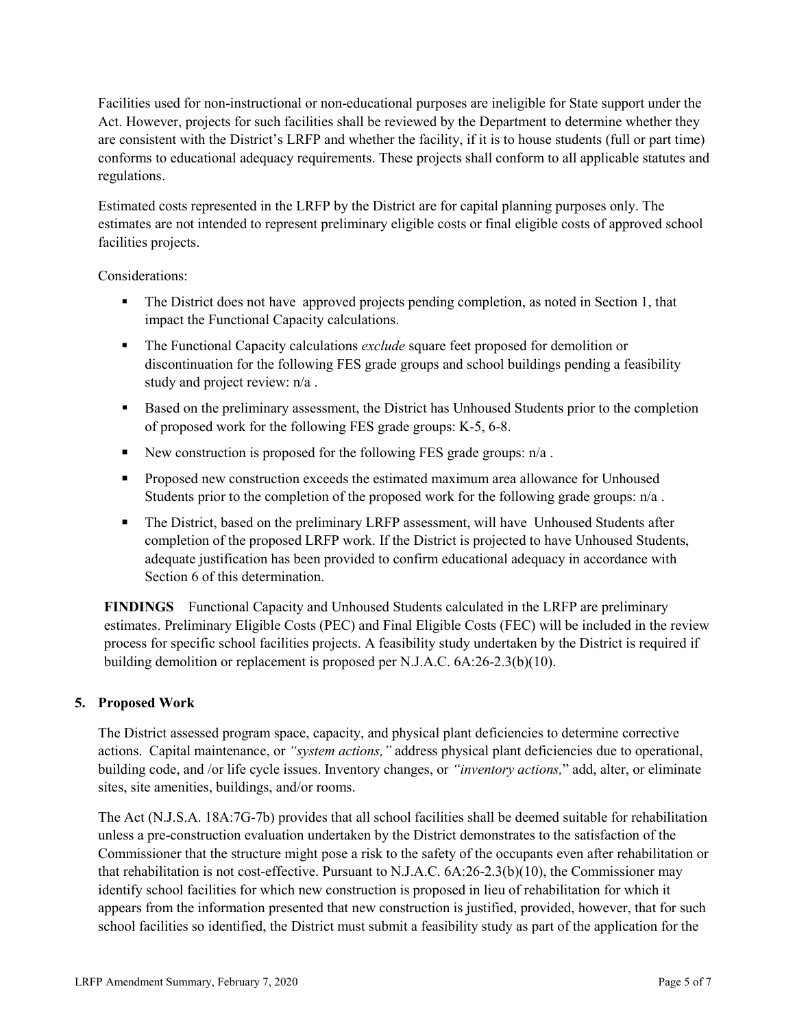Facilities used for non-instructional or non-educational purposes are ineligible for State support under the Act. However, projects for such facilities shall be reviewed by the Department to determine whether they are consistent with the District's LRFP and whether the facility, if it is to house students (full or part time) conforms to educational adequacy requirements. These projects shall conform to all applicable statutes and regulations.

Estimated costs represented in the LRFP by the District are for capital planning purposes only. The estimates are not intended to represent preliminary eligible costs or final eligible costs of approved school facilities projects.

Considerations:

- The District does not have approved projects pending completion, as noted in Section 1, that impact the Functional Capacity calculations.
- The Functional Capacity calculations *exclude* square feet proposed for demolition or discontinuation for the following FES grade groups and school buildings pending a feasibility study and project review: n/a .
- Based on the preliminary assessment, the District has Unhoused Students prior to the completion of proposed work for the following FES grade groups: K-5, 6-8.
- New construction is proposed for the following FES grade groups:  $n/a$ .
- **Proposed new construction exceeds the estimated maximum area allowance for Unhoused** Students prior to the completion of the proposed work for the following grade groups:  $n/a$ .
- The District, based on the preliminary LRFP assessment, will have Unhoused Students after completion of the proposed LRFP work. If the District is projected to have Unhoused Students, adequate justification has been provided to confirm educational adequacy in accordance with Section 6 of this determination.

**FINDINGS** Functional Capacity and Unhoused Students calculated in the LRFP are preliminary estimates. Preliminary Eligible Costs (PEC) and Final Eligible Costs (FEC) will be included in the review process for specific school facilities projects. A feasibility study undertaken by the District is required if building demolition or replacement is proposed per N.J.A.C. 6A:26-2.3(b)(10).

# **5. Proposed Work**

The District assessed program space, capacity, and physical plant deficiencies to determine corrective actions. Capital maintenance, or *"system actions,"* address physical plant deficiencies due to operational, building code, and /or life cycle issues. Inventory changes, or *"inventory actions,*" add, alter, or eliminate sites, site amenities, buildings, and/or rooms.

The Act (N.J.S.A. 18A:7G-7b) provides that all school facilities shall be deemed suitable for rehabilitation unless a pre-construction evaluation undertaken by the District demonstrates to the satisfaction of the Commissioner that the structure might pose a risk to the safety of the occupants even after rehabilitation or that rehabilitation is not cost-effective. Pursuant to N.J.A.C. 6A:26-2.3(b)(10), the Commissioner may identify school facilities for which new construction is proposed in lieu of rehabilitation for which it appears from the information presented that new construction is justified, provided, however, that for such school facilities so identified, the District must submit a feasibility study as part of the application for the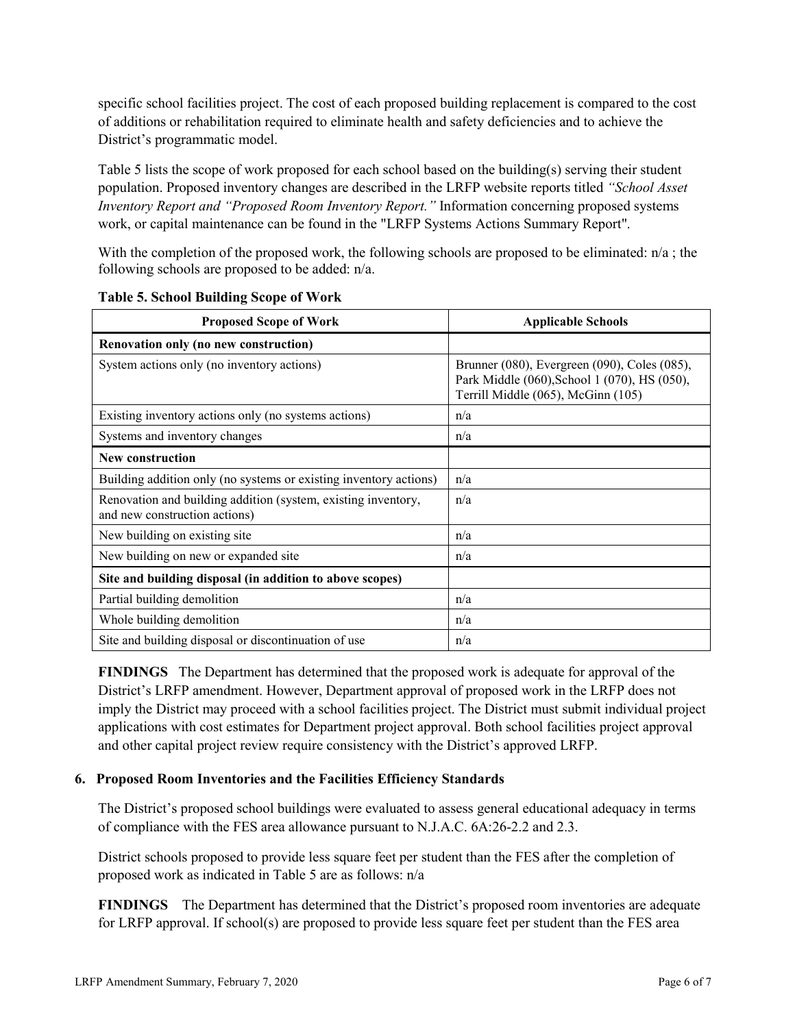specific school facilities project. The cost of each proposed building replacement is compared to the cost of additions or rehabilitation required to eliminate health and safety deficiencies and to achieve the District's programmatic model.

Table 5 lists the scope of work proposed for each school based on the building(s) serving their student population. Proposed inventory changes are described in the LRFP website reports titled *"School Asset Inventory Report and "Proposed Room Inventory Report."* Information concerning proposed systems work, or capital maintenance can be found in the "LRFP Systems Actions Summary Report".

With the completion of the proposed work, the following schools are proposed to be eliminated:  $n/a$ ; the following schools are proposed to be added: n/a.

| <b>Proposed Scope of Work</b>                                                                  | <b>Applicable Schools</b>                                                                                                          |  |  |
|------------------------------------------------------------------------------------------------|------------------------------------------------------------------------------------------------------------------------------------|--|--|
| Renovation only (no new construction)                                                          |                                                                                                                                    |  |  |
| System actions only (no inventory actions)                                                     | Brunner (080), Evergreen (090), Coles (085),<br>Park Middle (060), School 1 (070), HS (050),<br>Terrill Middle (065), McGinn (105) |  |  |
| Existing inventory actions only (no systems actions)                                           | n/a                                                                                                                                |  |  |
| Systems and inventory changes                                                                  | n/a                                                                                                                                |  |  |
| <b>New construction</b>                                                                        |                                                                                                                                    |  |  |
| Building addition only (no systems or existing inventory actions)                              | n/a                                                                                                                                |  |  |
| Renovation and building addition (system, existing inventory,<br>and new construction actions) | n/a                                                                                                                                |  |  |
| New building on existing site.                                                                 | n/a                                                                                                                                |  |  |
| New building on new or expanded site                                                           | n/a                                                                                                                                |  |  |
| Site and building disposal (in addition to above scopes)                                       |                                                                                                                                    |  |  |
| Partial building demolition                                                                    | n/a                                                                                                                                |  |  |
| Whole building demolition                                                                      | n/a                                                                                                                                |  |  |
| Site and building disposal or discontinuation of use                                           | n/a                                                                                                                                |  |  |

|  |  |  | <b>Table 5. School Building Scope of Work</b> |  |  |  |
|--|--|--|-----------------------------------------------|--|--|--|
|--|--|--|-----------------------------------------------|--|--|--|

**FINDINGS** The Department has determined that the proposed work is adequate for approval of the District's LRFP amendment. However, Department approval of proposed work in the LRFP does not imply the District may proceed with a school facilities project. The District must submit individual project applications with cost estimates for Department project approval. Both school facilities project approval and other capital project review require consistency with the District's approved LRFP.

#### **6. Proposed Room Inventories and the Facilities Efficiency Standards**

The District's proposed school buildings were evaluated to assess general educational adequacy in terms of compliance with the FES area allowance pursuant to N.J.A.C. 6A:26-2.2 and 2.3.

District schools proposed to provide less square feet per student than the FES after the completion of proposed work as indicated in Table 5 are as follows: n/a

**FINDINGS** The Department has determined that the District's proposed room inventories are adequate for LRFP approval. If school(s) are proposed to provide less square feet per student than the FES area